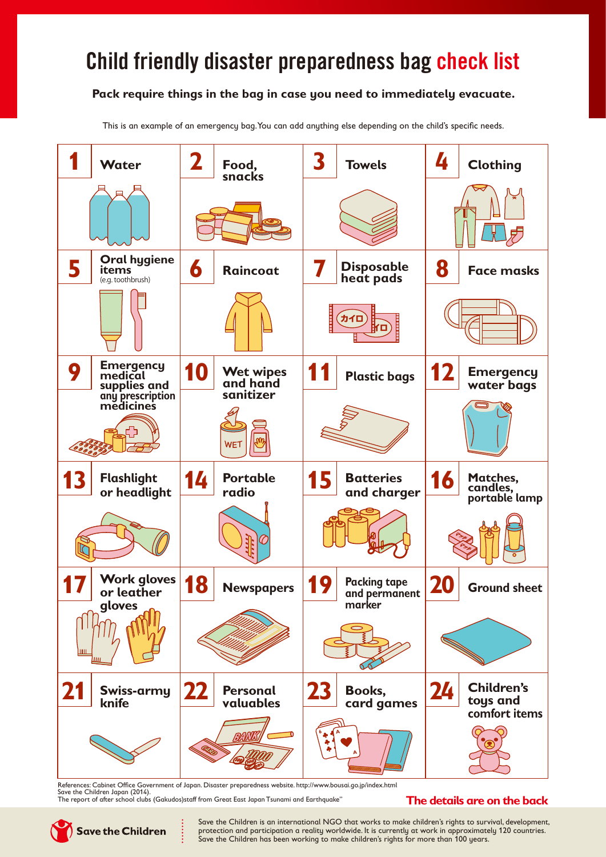## Child friendly disaster preparedness bag check list

## **Pack require things in the bag in case you need to immediately evacuate.**

This is an example of an emergency bag. You can add anything else depending on the child's specific needs.



References: Cabinet Office Government of Japan. Disaster preparedness website. http://www.bousai.go.jp/index.html Save the Children Japan (2014).

The report of after school clubs (Gakudos)staff from Great East Japan Tsunami and Earthquake"

## **The details are on the back**

**Save the Children** 

Save the Children is an international NGO that works to make children's rights to survival, development, protection and participation a reality worldwide. It is currently at work in approximately 120 countries. Save the Children has been working to make children's rights for more than 100 years.